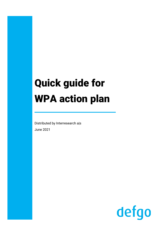# Quick guide for WPA action plan

Distributed by Interresearch a|s June 2021

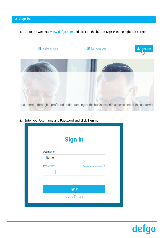1. Go to the web-site [www.defgo.com](http://www.defgo.com/) and click on the button **Sign in** in the right top corner.



2. Enter your Username and Password and click **Sign in.**

|              | <b>Sign in</b>                       |
|--------------|--------------------------------------|
| Username     |                                      |
| Name         |                                      |
| Password<br> | Forgot your password?                |
|              |                                      |
|              | Sign in                              |
|              | $\frac{1}{2}$<br>or get a free trial |
|              |                                      |

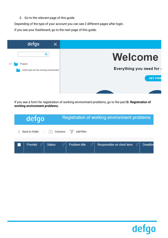3. Go to the relevant page of this guide.

Depending of the type of your account you can see 2 different pages after login.

If you see your Dashboard, go to the next page of this guide.



If you see a form for registration of working environment problems, go to the part **D. Registration of working environment problems.**

| defgo                                                   |                      |                 | Registration of working environment problems    |                 |
|---------------------------------------------------------|----------------------|-----------------|-------------------------------------------------|-----------------|
| <b>Back to folder</b>                                   | Columns<br>H.        | Add filter<br>Y |                                                 |                 |
| Prioritet $\downarrow$ <sup><math>\uparrow</math></sup> | ιî,<br><b>Status</b> | Problem title   | Responsible on short term $\downarrow \uparrow$ | <b>Deadline</b> |

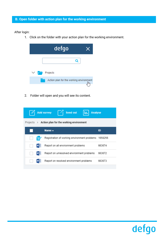#### After login:

1. Click on the folder with your action plan for the working environment.



2. Folder will open and you will see its content.

|   | Send out<br>Add survey<br><b>Analyse</b>                       |        |
|---|----------------------------------------------------------------|--------|
|   | Projects $\rightarrow$ Action plan for the working environment |        |
|   | Name $\triangle$                                               | ID     |
| 醴 | Registration of working environment problems 1658256           |        |
|   | Report on all environment problems                             | 663674 |
|   | Report on unresolved environment problems                      | 663672 |
|   | Report on resolved environment problems                        | 663673 |
|   |                                                                |        |

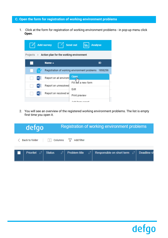### **C. Open the form for registration of working environment problems**

1. Click at the form for registration of working environment problems - in pop-up menu click **Open**.

|   | <b>Add survey</b>                                              | Send out<br><b>Analyse</b>                              |  |  |  |  |
|---|----------------------------------------------------------------|---------------------------------------------------------|--|--|--|--|
|   | Projects $\rightarrow$ Action plan for the working environment |                                                         |  |  |  |  |
|   | Name $\triangle$                                               | ID                                                      |  |  |  |  |
| E |                                                                | Registration of working environment problems<br>1658256 |  |  |  |  |
|   | Report on all environn                                         | Open<br>hm                                              |  |  |  |  |
|   | Report on unresolved                                           | ðut a new form                                          |  |  |  |  |
|   | Report on resolved er                                          | Edit<br>Print preview                                   |  |  |  |  |
|   |                                                                | Add form ronart                                         |  |  |  |  |

2. You will see an overview of the registered working environment problems. The list is empty first time you open it.

| defgo                    |               |               |    | Registration of working environment problems    |                    |
|--------------------------|---------------|---------------|----|-------------------------------------------------|--------------------|
| <b>Back to folder</b>    | Columns       | Add filter    |    |                                                 |                    |
| Prioritet L <sup>1</sup> | <b>Status</b> | Problem title | τt | Responsible on short term $\downarrow \uparrow$ | <b>Deadline</b> sh |

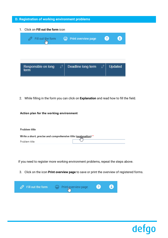#### **D. Registration of working environment problems**

1. Click on **Fill out the form** icon



2. While filling in the form you can click on **Explanation** and read how to fill the field.

#### Action plan for the working environment

| Problem title                                                  |  |
|----------------------------------------------------------------|--|
| Write a short, precise and comprehensive title (explanation) * |  |
| Problem title                                                  |  |

If you need to register more working environment problems, repeat the steps above.

3. Click on the icon **Print overview page** to save or print the overview of registered forms.



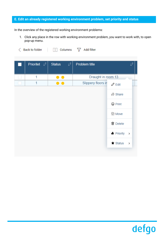#### **E. Edit an already registered working environment problem, set priority and status**

In the overview of the registered working environment problems:

1. Click any place in the row with working environment problem, you want to work with, to open pop-up menu.

| <b>Back to folder</b> | Columns |  | Add filter |  |
|-----------------------|---------|--|------------|--|
|-----------------------|---------|--|------------|--|

| Prioritet $\ \cdot\ ^{\uparrow}$ | <b>Status</b><br>$\downarrow$ î   | Problem title      | T,                                  |
|----------------------------------|-----------------------------------|--------------------|-------------------------------------|
| 1                                |                                   | Draught in room 13 |                                     |
| 1                                | Ð<br>$\qquad \qquad \blacksquare$ | Slippery floors in | $\mathscr{O}$ Edit                  |
|                                  |                                   |                    | $\phi$ Share                        |
|                                  |                                   |                    | <b>合 Print</b>                      |
|                                  |                                   |                    | (g) Move                            |
|                                  |                                   |                    | <b>m</b> Delete                     |
|                                  |                                   |                    | $\bullet$ Priority<br>$\rightarrow$ |
|                                  |                                   |                    | $\bigstar$ Status<br>$\rightarrow$  |
|                                  |                                   |                    |                                     |

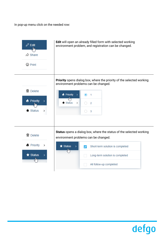In pop-up menu click on the needed row:



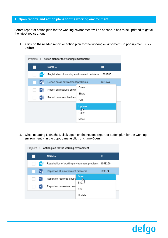#### **F. Open reports and action plans for the working environment**

Before report or action plan for the working environment will be opened, it has to be updated to get all the latest registrations.

1. Click on the needed report or action plan for the working environment - in pop-up menu click **Update**.

| Projects $\rightarrow$ Action plan for the working environment |                                                      |                                  |        |  |  |
|----------------------------------------------------------------|------------------------------------------------------|----------------------------------|--------|--|--|
|                                                                | Name $\triangle$                                     |                                  | ID     |  |  |
| ≣                                                              | Registration of working environment problems 1658256 |                                  |        |  |  |
|                                                                | Report on all environment problems                   |                                  | 663674 |  |  |
|                                                                | Report on resolved envird                            | Open<br>Share                    |        |  |  |
|                                                                |                                                      | Report on unresolved env<br>Edit |        |  |  |
|                                                                |                                                      | <b>Update</b>                    |        |  |  |
|                                                                |                                                      | ١m                               |        |  |  |
|                                                                |                                                      | Move                             |        |  |  |

**2.** When updating is finished, click again on the needed report or action plan for the working environment – in the pop-up menu click this time **Open.**



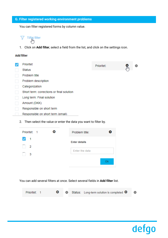## **G. Filter registered working environment problems**

You can filter registered forms by column value.

| Tilføj filter |
|---------------|
| _իհ           |

1. Click on **Add filter**, select a field from the list, and click on the settings icon.

#### **Add filter**

| Prioritet                                 | Prioritet: | α |
|-------------------------------------------|------------|---|
| <b>Status</b>                             |            |   |
| Problem title                             |            |   |
| Problem description                       |            |   |
| Categorization                            |            |   |
| Short term: corrections or final solution |            |   |
| Long term: Final solution                 |            |   |
| Amount (DKK)                              |            |   |
| Responsible on short term                 |            |   |
| Responsible on short term (email)         |            |   |

2. Then select the value or enter the data you want to filter by.

| Prioritet: 1                   | Problem title:       |    |
|--------------------------------|----------------------|----|
| $\checkmark$<br>$\overline{1}$ | <b>Enter details</b> |    |
| $\overline{2}$                 | Enter the data       |    |
| 3                              |                      |    |
|                                |                      | Ok |

You can add several filters at once. Select several fields in **Add filter** list.